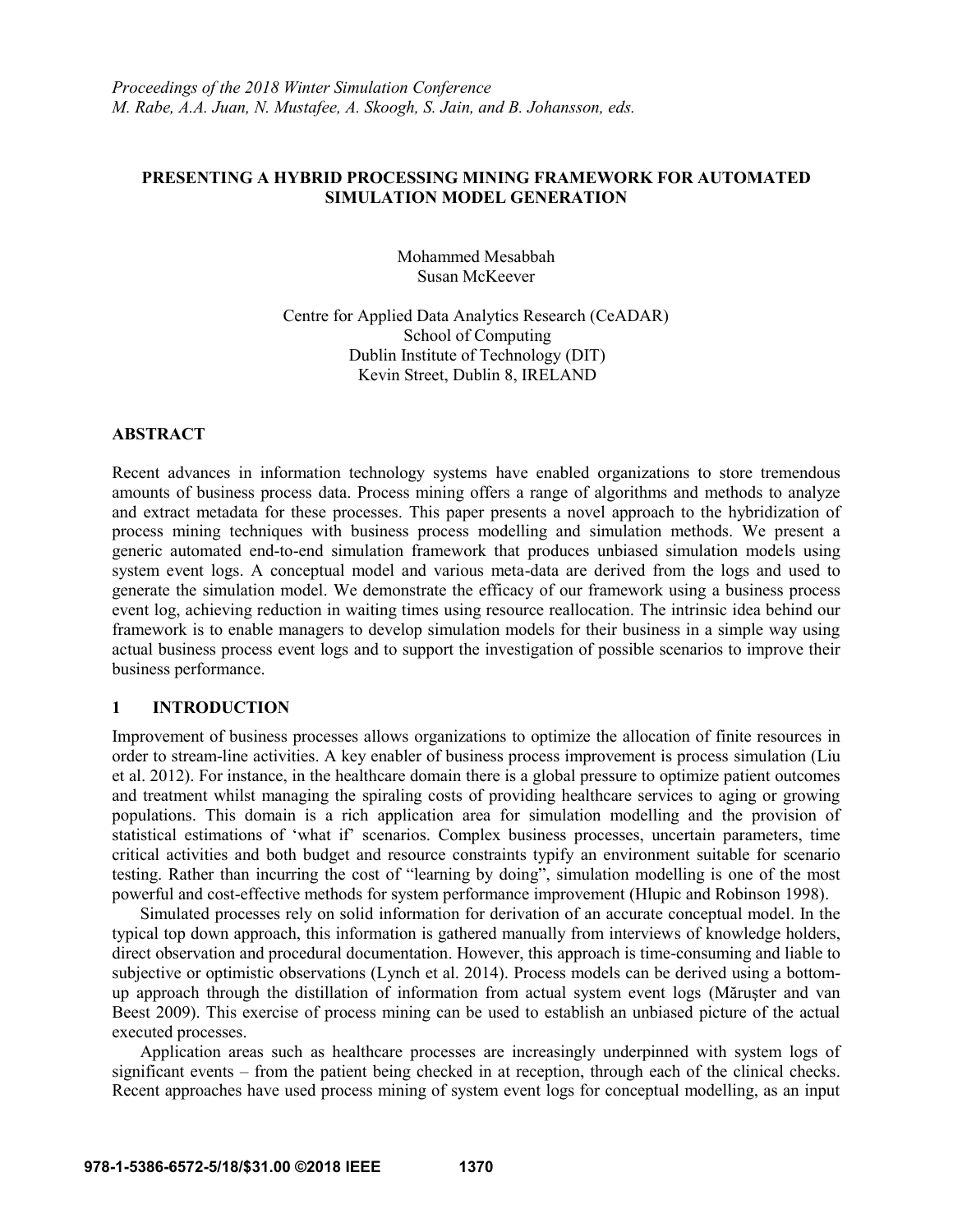### **PRESENTING A HYBRID PROCESSING MINING FRAMEWORK FOR AUTOMATED SIMULATION MODEL GENERATION**

Mohammed Mesabbah Susan McKeever

Centre for Applied Data Analytics Research (CeADAR) School of Computing Dublin Institute of Technology (DIT) Kevin Street, Dublin 8, IRELAND

#### **ABSTRACT**

Recent advances in information technology systems have enabled organizations to store tremendous amounts of business process data. Process mining offers a range of algorithms and methods to analyze and extract metadata for these processes. This paper presents a novel approach to the hybridization of process mining techniques with business process modelling and simulation methods. We present a generic automated end-to-end simulation framework that produces unbiased simulation models using system event logs. A conceptual model and various meta-data are derived from the logs and used to generate the simulation model. We demonstrate the efficacy of our framework using a business process event log, achieving reduction in waiting times using resource reallocation. The intrinsic idea behind our framework is to enable managers to develop simulation models for their business in a simple way using actual business process event logs and to support the investigation of possible scenarios to improve their business performance.

### **1 INTRODUCTION**

Improvement of business processes allows organizations to optimize the allocation of finite resources in order to stream-line activities. A key enabler of business process improvement is process simulation (Liu et al. 2012). For instance, in the healthcare domain there is a global pressure to optimize patient outcomes and treatment whilst managing the spiraling costs of providing healthcare services to aging or growing populations. This domain is a rich application area for simulation modelling and the provision of statistical estimations of 'what if' scenarios. Complex business processes, uncertain parameters, time critical activities and both budget and resource constraints typify an environment suitable for scenario testing. Rather than incurring the cost of "learning by doing", simulation modelling is one of the most powerful and cost-effective methods for system performance improvement (Hlupic and Robinson 1998).

Simulated processes rely on solid information for derivation of an accurate conceptual model. In the typical top down approach, this information is gathered manually from interviews of knowledge holders, direct observation and procedural documentation. However, this approach is time-consuming and liable to subjective or optimistic observations (Lynch et al. 2014). Process models can be derived using a bottomup approach through the distillation of information from actual system event logs (Măruşter and van Beest 2009). This exercise of process mining can be used to establish an unbiased picture of the actual executed processes.

Application areas such as healthcare processes are increasingly underpinned with system logs of significant events – from the patient being checked in at reception, through each of the clinical checks. Recent approaches have used process mining of system event logs for conceptual modelling, as an input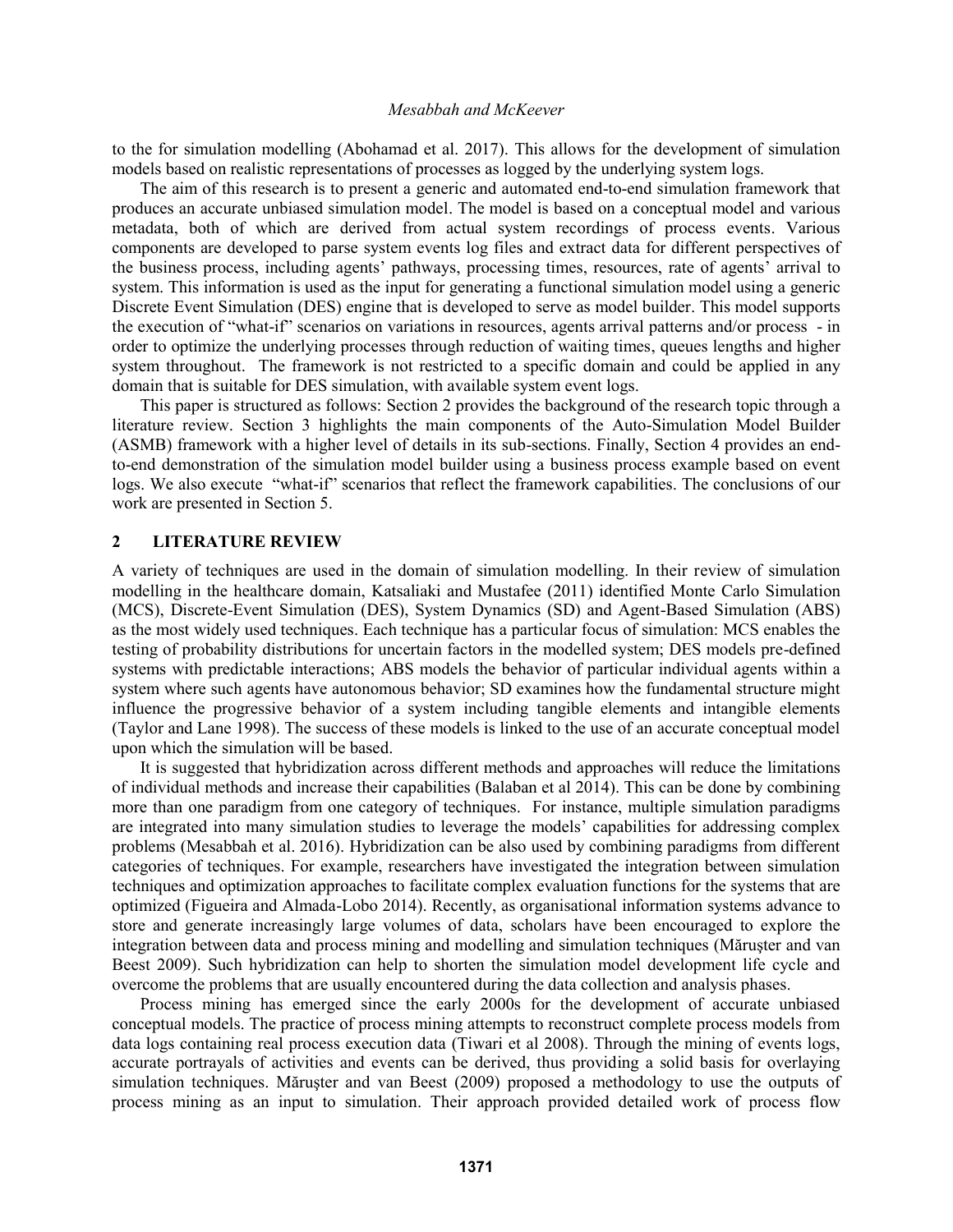to the for simulation modelling (Abohamad et al. 2017). This allows for the development of simulation models based on realistic representations of processes as logged by the underlying system logs.

The aim of this research is to present a generic and automated end-to-end simulation framework that produces an accurate unbiased simulation model. The model is based on a conceptual model and various metadata, both of which are derived from actual system recordings of process events. Various components are developed to parse system events log files and extract data for different perspectives of the business process, including agents' pathways, processing times, resources, rate of agents' arrival to system. This information is used as the input for generating a functional simulation model using a generic Discrete Event Simulation (DES) engine that is developed to serve as model builder. This model supports the execution of "what-if" scenarios on variations in resources, agents arrival patterns and/or process - in order to optimize the underlying processes through reduction of waiting times, queues lengths and higher system throughout. The framework is not restricted to a specific domain and could be applied in any domain that is suitable for DES simulation, with available system event logs.

This paper is structured as follows: Section 2 provides the background of the research topic through a literature review. Section 3 highlights the main components of the Auto-Simulation Model Builder (ASMB) framework with a higher level of details in its sub-sections. Finally, Section 4 provides an endto-end demonstration of the simulation model builder using a business process example based on event logs. We also execute "what-if" scenarios that reflect the framework capabilities. The conclusions of our work are presented in Section 5.

#### **2 LITERATURE REVIEW**

A variety of techniques are used in the domain of simulation modelling. In their review of simulation modelling in the healthcare domain, Katsaliaki and Mustafee (2011) identified Monte Carlo Simulation (MCS), Discrete-Event Simulation (DES), System Dynamics (SD) and Agent-Based Simulation (ABS) as the most widely used techniques. Each technique has a particular focus of simulation: MCS enables the testing of probability distributions for uncertain factors in the modelled system; DES models pre-defined systems with predictable interactions; ABS models the behavior of particular individual agents within a system where such agents have autonomous behavior; SD examines how the fundamental structure might influence the progressive behavior of a system including tangible elements and intangible elements (Taylor and Lane 1998). The success of these models is linked to the use of an accurate conceptual model upon which the simulation will be based.

It is suggested that hybridization across different methods and approaches will reduce the limitations of individual methods and increase their capabilities (Balaban et al 2014). This can be done by combining more than one paradigm from one category of techniques. For instance, multiple simulation paradigms are integrated into many simulation studies to leverage the models' capabilities for addressing complex problems (Mesabbah et al. 2016). Hybridization can be also used by combining paradigms from different categories of techniques. For example, researchers have investigated the integration between simulation techniques and optimization approaches to facilitate complex evaluation functions for the systems that are optimized (Figueira and Almada-Lobo 2014). Recently, as organisational information systems advance to store and generate increasingly large volumes of data, scholars have been encouraged to explore the integration between data and process mining and modelling and simulation techniques (Măruşter and van Beest 2009). Such hybridization can help to shorten the simulation model development life cycle and overcome the problems that are usually encountered during the data collection and analysis phases.

Process mining has emerged since the early 2000s for the development of accurate unbiased conceptual models. The practice of process mining attempts to reconstruct complete process models from data logs containing real process execution data (Tiwari et al 2008). Through the mining of events logs, accurate portrayals of activities and events can be derived, thus providing a solid basis for overlaying simulation techniques. Măruşter and van Beest (2009) proposed a methodology to use the outputs of process mining as an input to simulation. Their approach provided detailed work of process flow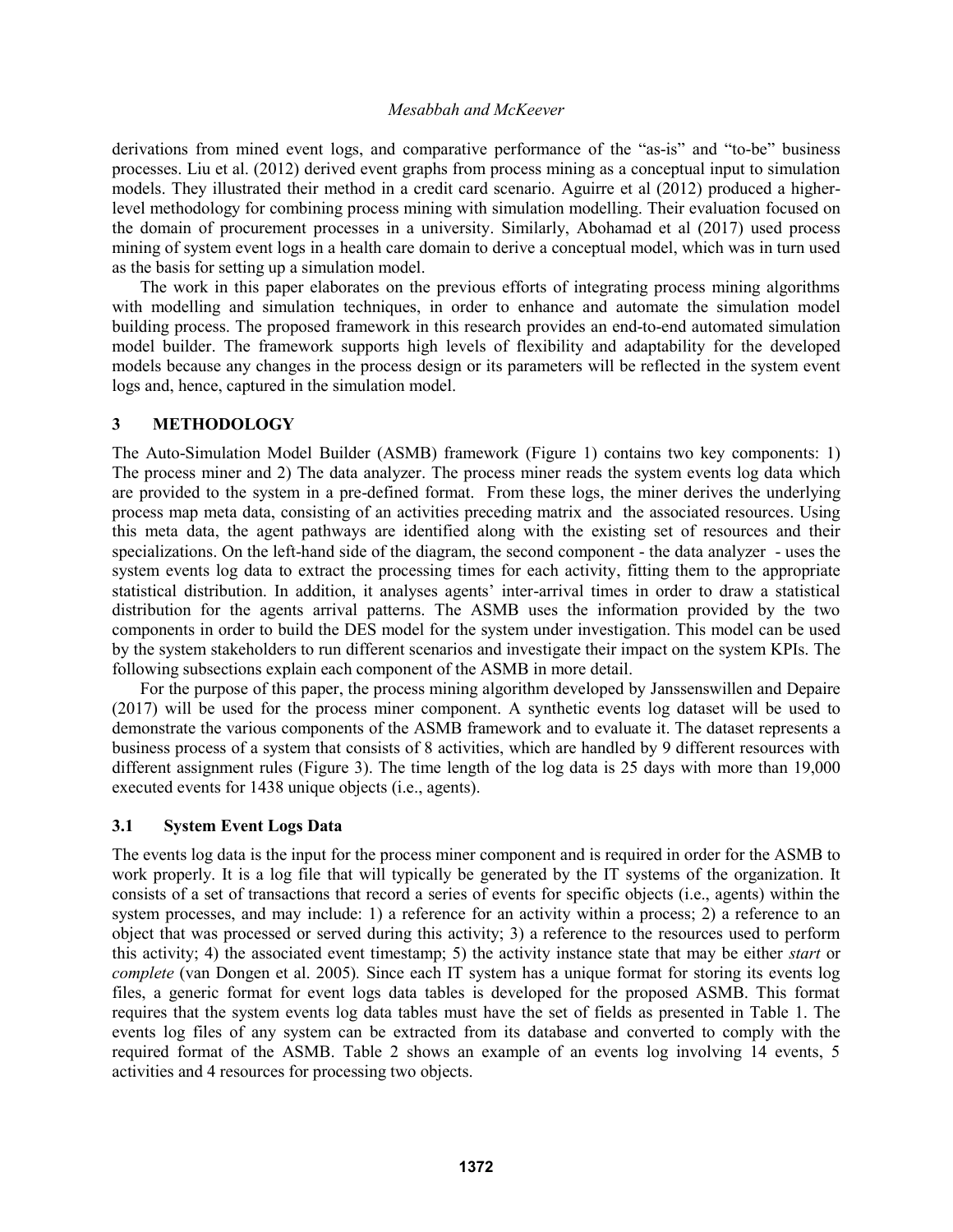derivations from mined event logs, and comparative performance of the "as-is" and "to-be" business processes. Liu et al. (2012) derived event graphs from process mining as a conceptual input to simulation models. They illustrated their method in a credit card scenario. Aguirre et al (2012) produced a higherlevel methodology for combining process mining with simulation modelling. Their evaluation focused on the domain of procurement processes in a university. Similarly, Abohamad et al (2017) used process mining of system event logs in a health care domain to derive a conceptual model, which was in turn used as the basis for setting up a simulation model.

The work in this paper elaborates on the previous efforts of integrating process mining algorithms with modelling and simulation techniques, in order to enhance and automate the simulation model building process. The proposed framework in this research provides an end-to-end automated simulation model builder. The framework supports high levels of flexibility and adaptability for the developed models because any changes in the process design or its parameters will be reflected in the system event logs and, hence, captured in the simulation model.

### **3 METHODOLOGY**

The Auto-Simulation Model Builder (ASMB) framework (Figure 1) contains two key components: 1) The process miner and 2) The data analyzer. The process miner reads the system events log data which are provided to the system in a pre-defined format. From these logs, the miner derives the underlying process map meta data, consisting of an activities preceding matrix and the associated resources. Using this meta data, the agent pathways are identified along with the existing set of resources and their specializations. On the left-hand side of the diagram, the second component - the data analyzer - uses the system events log data to extract the processing times for each activity, fitting them to the appropriate statistical distribution. In addition, it analyses agents' inter-arrival times in order to draw a statistical distribution for the agents arrival patterns. The ASMB uses the information provided by the two components in order to build the DES model for the system under investigation. This model can be used by the system stakeholders to run different scenarios and investigate their impact on the system KPIs. The following subsections explain each component of the ASMB in more detail.

For the purpose of this paper, the process mining algorithm developed by Janssenswillen and Depaire (2017) will be used for the process miner component. A synthetic events log dataset will be used to demonstrate the various components of the ASMB framework and to evaluate it. The dataset represents a business process of a system that consists of 8 activities, which are handled by 9 different resources with different assignment rules (Figure 3). The time length of the log data is 25 days with more than 19,000 executed events for 1438 unique objects (i.e., agents).

### **3.1 System Event Logs Data**

The events log data is the input for the process miner component and is required in order for the ASMB to work properly. It is a log file that will typically be generated by the IT systems of the organization. It consists of a set of transactions that record a series of events for specific objects (i.e., agents) within the system processes, and may include: 1) a reference for an activity within a process; 2) a reference to an object that was processed or served during this activity; 3) a reference to the resources used to perform this activity; 4) the associated event timestamp; 5) the activity instance state that may be either *start* or *complete* (van Dongen et al. 2005). Since each IT system has a unique format for storing its events log files, a generic format for event logs data tables is developed for the proposed ASMB. This format requires that the system events log data tables must have the set of fields as presented in Table 1. The events log files of any system can be extracted from its database and converted to comply with the required format of the ASMB. Table 2 shows an example of an events log involving 14 events, 5 activities and 4 resources for processing two objects.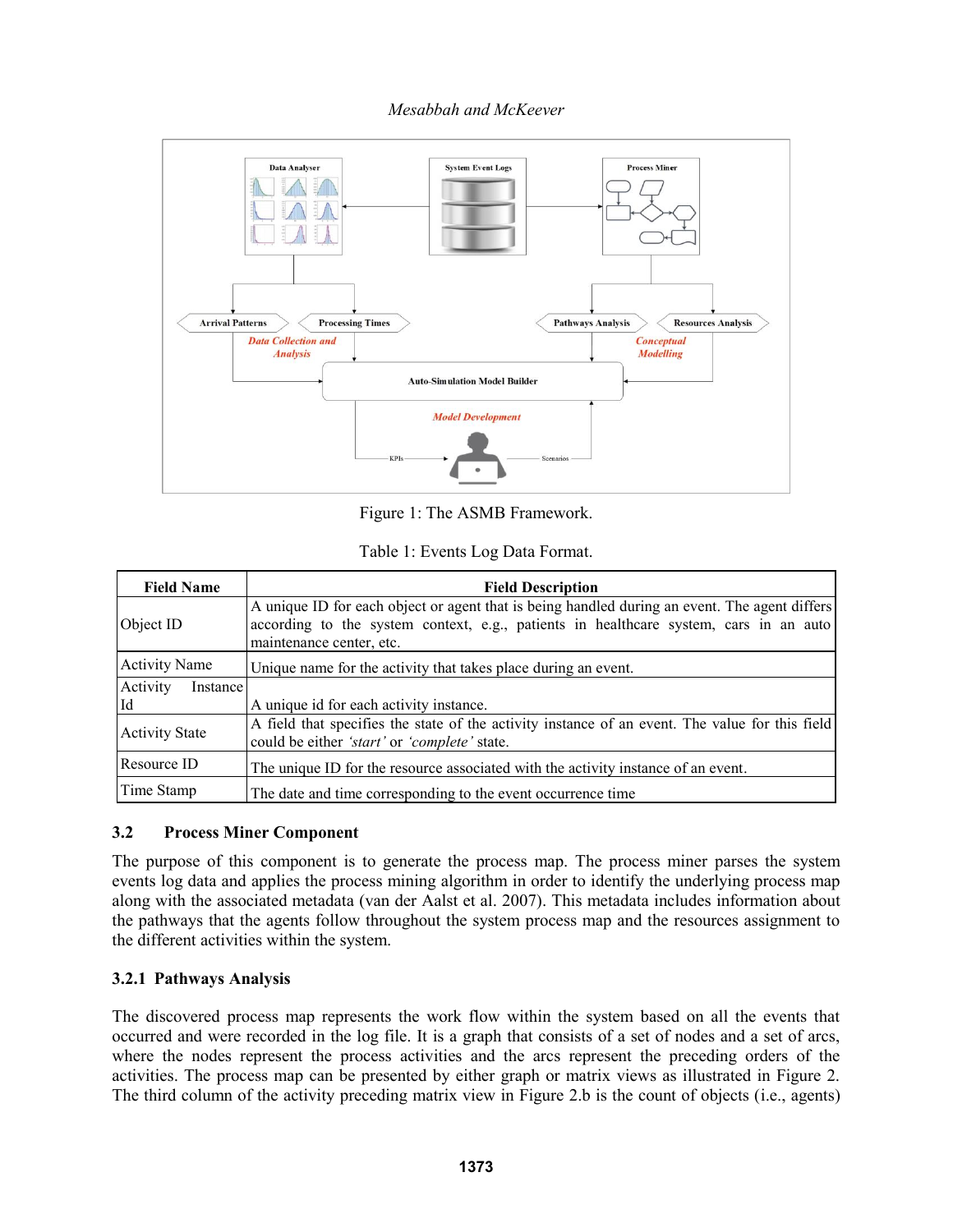

Figure 1: The ASMB Framework.

| Table 1: Events Log Data Format. |  |  |
|----------------------------------|--|--|
|----------------------------------|--|--|

| <b>Field Name</b>     | <b>Field Description</b>                                                                                                                                                                                           |
|-----------------------|--------------------------------------------------------------------------------------------------------------------------------------------------------------------------------------------------------------------|
| Object ID             | A unique ID for each object or agent that is being handled during an event. The agent differs<br>according to the system context, e.g., patients in healthcare system, cars in an auto<br>maintenance center, etc. |
| <b>Activity Name</b>  | Unique name for the activity that takes place during an event.                                                                                                                                                     |
| Activity<br>Instance  |                                                                                                                                                                                                                    |
| Id                    | A unique id for each activity instance.                                                                                                                                                                            |
| <b>Activity State</b> | A field that specifies the state of the activity instance of an event. The value for this field<br>could be either 'start' or 'complete' state.                                                                    |
| Resource ID           | The unique ID for the resource associated with the activity instance of an event.                                                                                                                                  |
| Time Stamp            | The date and time corresponding to the event occurrence time                                                                                                                                                       |

## **3.2 Process Miner Component**

The purpose of this component is to generate the process map. The process miner parses the system events log data and applies the process mining algorithm in order to identify the underlying process map along with the associated metadata (van der Aalst et al. 2007). This metadata includes information about the pathways that the agents follow throughout the system process map and the resources assignment to the different activities within the system.

## **3.2.1 Pathways Analysis**

The discovered process map represents the work flow within the system based on all the events that occurred and were recorded in the log file. It is a graph that consists of a set of nodes and a set of arcs, where the nodes represent the process activities and the arcs represent the preceding orders of the activities. The process map can be presented by either graph or matrix views as illustrated in Figure 2. The third column of the activity preceding matrix view in Figure 2.b is the count of objects (i.e., agents)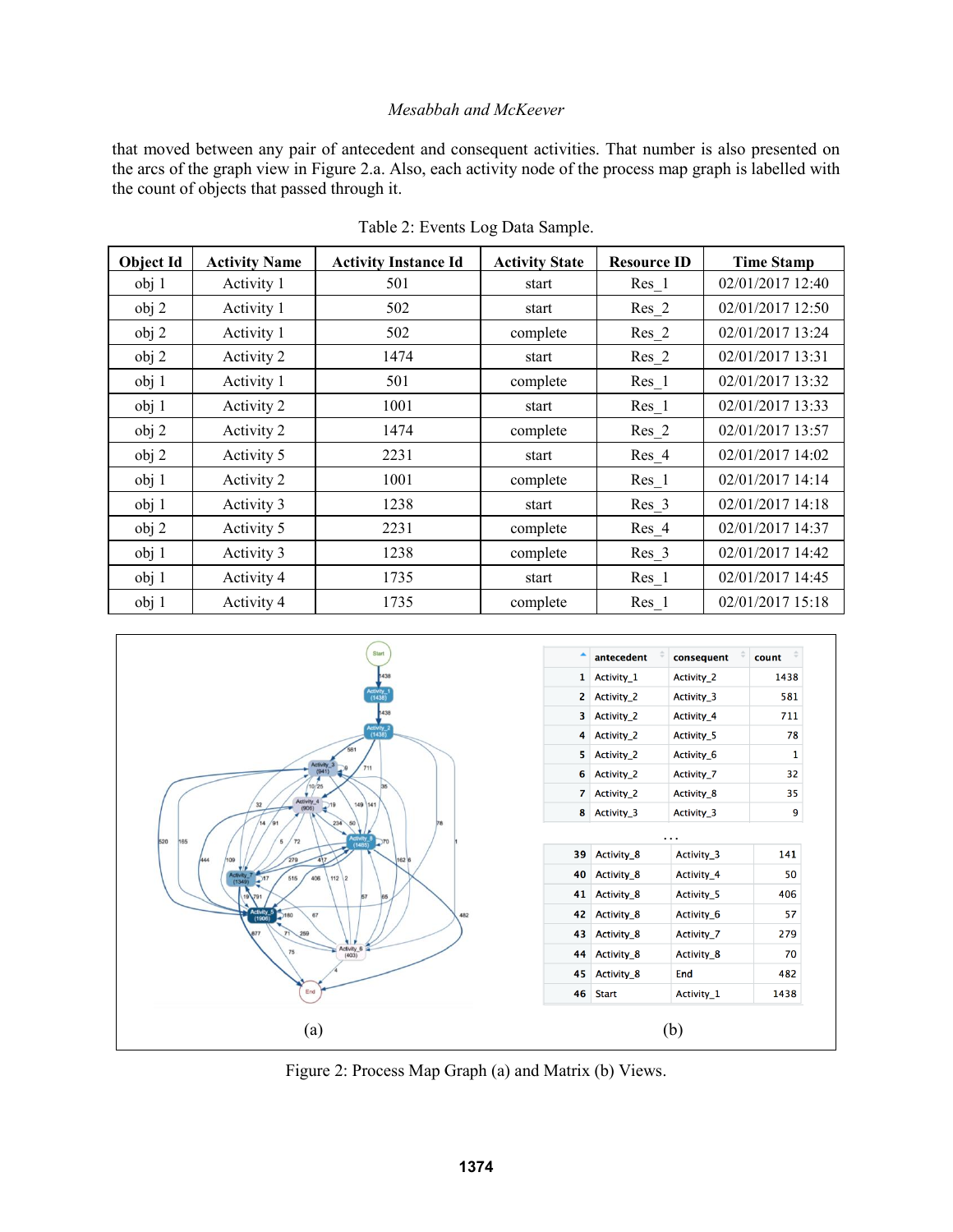that moved between any pair of antecedent and consequent activities. That number is also presented on the arcs of the graph view in Figure 2.a. Also, each activity node of the process map graph is labelled with the count of objects that passed through it.

| <b>Object Id</b> | <b>Activity Name</b> | <b>Activity Instance Id</b> | <b>Activity State</b> | <b>Resource ID</b> | <b>Time Stamp</b> |
|------------------|----------------------|-----------------------------|-----------------------|--------------------|-------------------|
| obj 1            | Activity 1           | 501                         | start                 | $Res_1$            | 02/01/2017 12:40  |
| obj 2            | Activity 1           | 502                         | start                 | $Res_2$            | 02/01/2017 12:50  |
| obj 2            | Activity 1           | 502                         | complete              | $Res_2$            | 02/01/2017 13:24  |
| obj 2            | Activity 2           | 1474                        | start                 | $Res_2$            | 02/01/2017 13:31  |
| obj 1            | Activity 1           | 501                         | complete              | $Res_1$            | 02/01/2017 13:32  |
| obj 1            | Activity 2           | 1001                        | start                 | $Res_1$            | 02/01/2017 13:33  |
| obj 2            | Activity 2           | 1474                        | complete              | $Res_2$            | 02/01/2017 13:57  |
| obj 2            | Activity 5           | 2231                        | start                 | $Res_4$            | 02/01/2017 14:02  |
| obj 1            | Activity 2           | 1001                        | complete              | $Res_1$            | 02/01/2017 14:14  |
| obj <sub>1</sub> | Activity 3           | 1238                        | start                 | $Res_3$            | 02/01/2017 14:18  |
| obj 2            | Activity 5           | 2231                        | complete              | Res 4              | 02/01/2017 14:37  |
| obj 1            | Activity 3           | 1238                        | complete              | Res 3              | 02/01/2017 14:42  |
| obj 1            | Activity 4           | 1735                        | start                 | $Res_1$            | 02/01/2017 14:45  |
| obj 1            | Activity 4           | 1735                        | complete              | $Res_1$            | 02/01/2017 15:18  |

Table 2: Events Log Data Sample.



Figure 2: Process Map Graph (a) and Matrix (b) Views.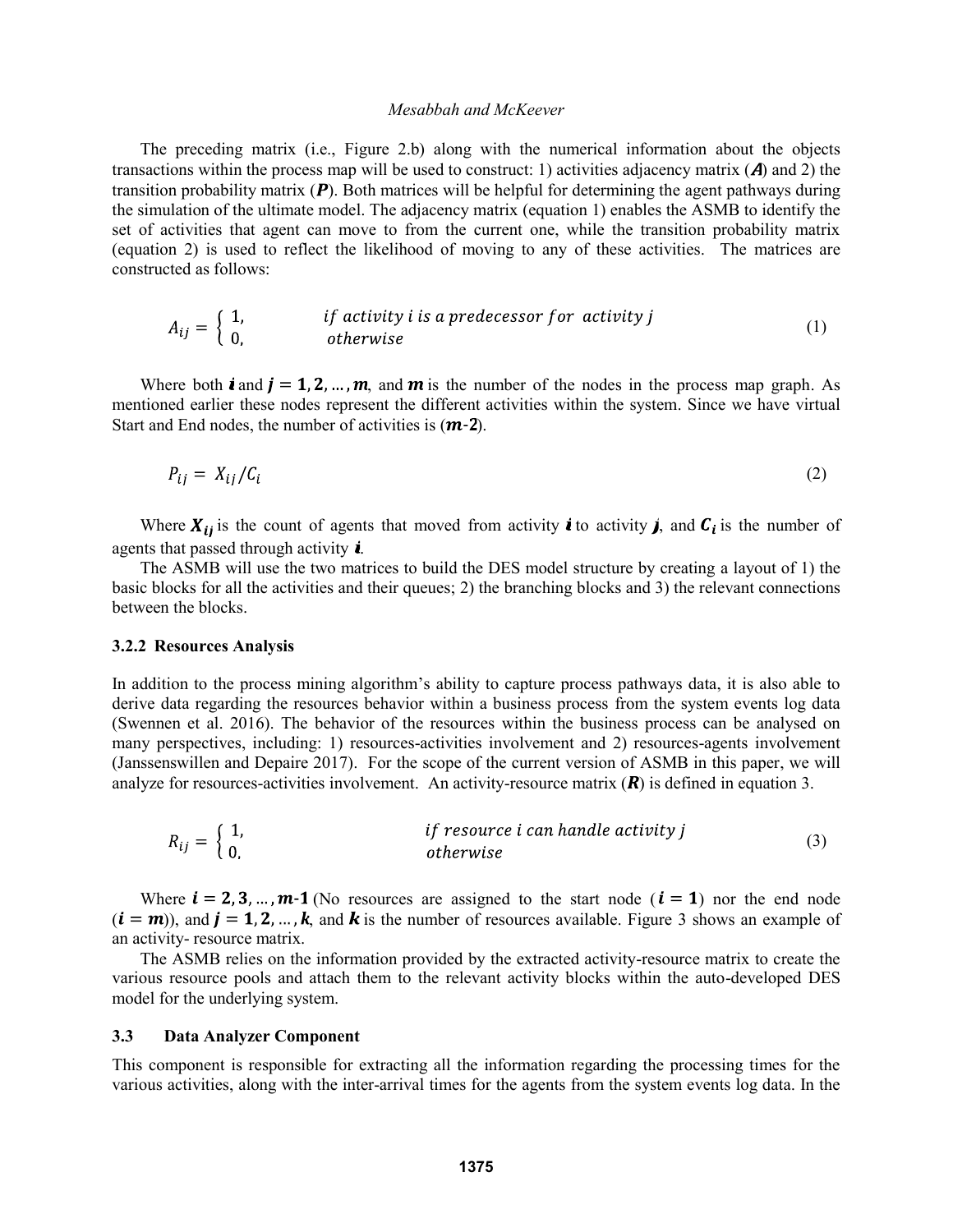The preceding matrix (i.e., Figure 2.b) along with the numerical information about the objects transactions within the process map will be used to construct: 1) activities adjacency matrix ( $\bm{A}$ ) and 2) the transition probability matrix  $(P)$ . Both matrices will be helpful for determining the agent pathways during the simulation of the ultimate model. The adjacency matrix (equation 1) enables the ASMB to identify the set of activities that agent can move to from the current one, while the transition probability matrix (equation 2) is used to reflect the likelihood of moving to any of these activities. The matrices are constructed as follows:

$$
A_{ij} = \begin{cases} 1, & if \text{ activity } i \text{ is a predecessor for activity } j \\ 0, & otherwise \end{cases}
$$
 (1)

Where both **i** and  $j = 1, 2, ..., m$ , and m is the number of the nodes in the process map graph. As mentioned earlier these nodes represent the different activities within the system. Since we have virtual Start and End nodes, the number of activities is  $(m-2)$ .

$$
P_{ij} = X_{ij}/C_i \tag{2}
$$

Where  $X_{ij}$  is the count of agents that moved from activity i to activity j, and  $C_i$  is the number of agents that passed through activity  $\boldsymbol{i}$ .

The ASMB will use the two matrices to build the DES model structure by creating a layout of 1) the basic blocks for all the activities and their queues; 2) the branching blocks and 3) the relevant connections between the blocks.

#### **3.2.2 Resources Analysis**

In addition to the process mining algorithm's ability to capture process pathways data, it is also able to derive data regarding the resources behavior within a business process from the system events log data (Swennen et al. 2016). The behavior of the resources within the business process can be analysed on many perspectives, including: 1) resources-activities involvement and 2) resources-agents involvement (Janssenswillen and Depaire 2017). For the scope of the current version of ASMB in this paper, we will analyze for resources-activities involvement. An activity-resource matrix  $(R)$  is defined in equation 3.

$$
R_{ij} = \begin{cases} 1, & \text{if resource i can handle activity } j \\ 0, & \text{otherwise} \end{cases}
$$
 (3)

Where  $i = 2, 3, ..., m-1$  (No resources are assigned to the start node  $(i = 1)$  nor the end node  $(i = m)$ , and  $j = 1, 2, ..., k$ , and **k** is the number of resources available. Figure 3 shows an example of an activity- resource matrix.

The ASMB relies on the information provided by the extracted activity-resource matrix to create the various resource pools and attach them to the relevant activity blocks within the auto-developed DES model for the underlying system.

### **3.3 Data Analyzer Component**

This component is responsible for extracting all the information regarding the processing times for the various activities, along with the inter-arrival times for the agents from the system events log data. In the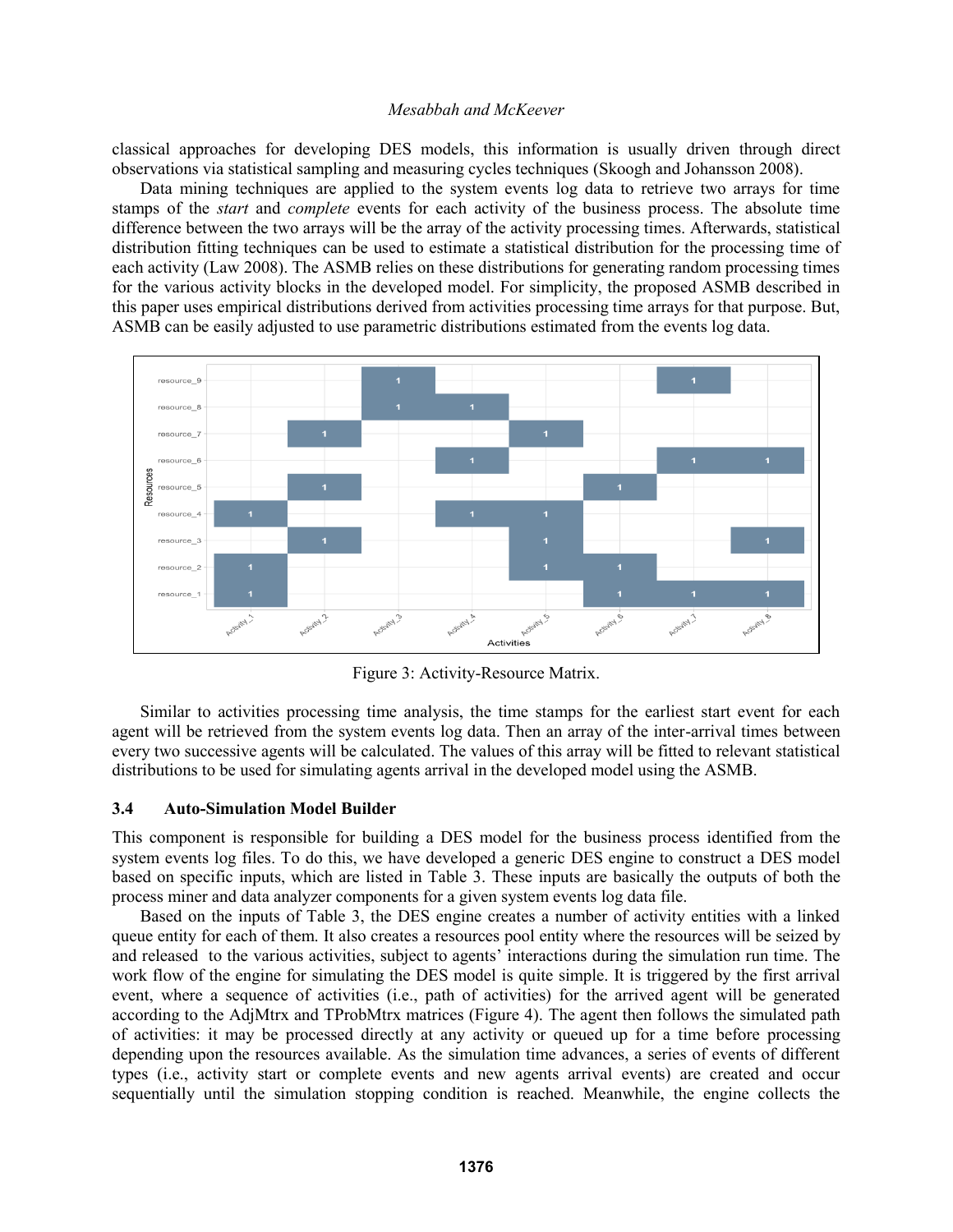classical approaches for developing DES models, this information is usually driven through direct observations via statistical sampling and measuring cycles techniques (Skoogh and Johansson 2008).

Data mining techniques are applied to the system events log data to retrieve two arrays for time stamps of the *start* and *complete* events for each activity of the business process. The absolute time difference between the two arrays will be the array of the activity processing times. Afterwards, statistical distribution fitting techniques can be used to estimate a statistical distribution for the processing time of each activity (Law 2008). The ASMB relies on these distributions for generating random processing times for the various activity blocks in the developed model. For simplicity, the proposed ASMB described in this paper uses empirical distributions derived from activities processing time arrays for that purpose. But, ASMB can be easily adjusted to use parametric distributions estimated from the events log data.



Figure 3: Activity-Resource Matrix.

Similar to activities processing time analysis, the time stamps for the earliest start event for each agent will be retrieved from the system events log data. Then an array of the inter-arrival times between every two successive agents will be calculated. The values of this array will be fitted to relevant statistical distributions to be used for simulating agents arrival in the developed model using the ASMB.

### **3.4 Auto-Simulation Model Builder**

This component is responsible for building a DES model for the business process identified from the system events log files. To do this, we have developed a generic DES engine to construct a DES model based on specific inputs, which are listed in Table 3. These inputs are basically the outputs of both the process miner and data analyzer components for a given system events log data file.

Based on the inputs of Table 3, the DES engine creates a number of activity entities with a linked queue entity for each of them. It also creates a resources pool entity where the resources will be seized by and released to the various activities, subject to agents' interactions during the simulation run time. The work flow of the engine for simulating the DES model is quite simple. It is triggered by the first arrival event, where a sequence of activities (i.e., path of activities) for the arrived agent will be generated according to the AdjMtrx and TProbMtrx matrices (Figure 4). The agent then follows the simulated path of activities: it may be processed directly at any activity or queued up for a time before processing depending upon the resources available. As the simulation time advances, a series of events of different types (i.e., activity start or complete events and new agents arrival events) are created and occur sequentially until the simulation stopping condition is reached. Meanwhile, the engine collects the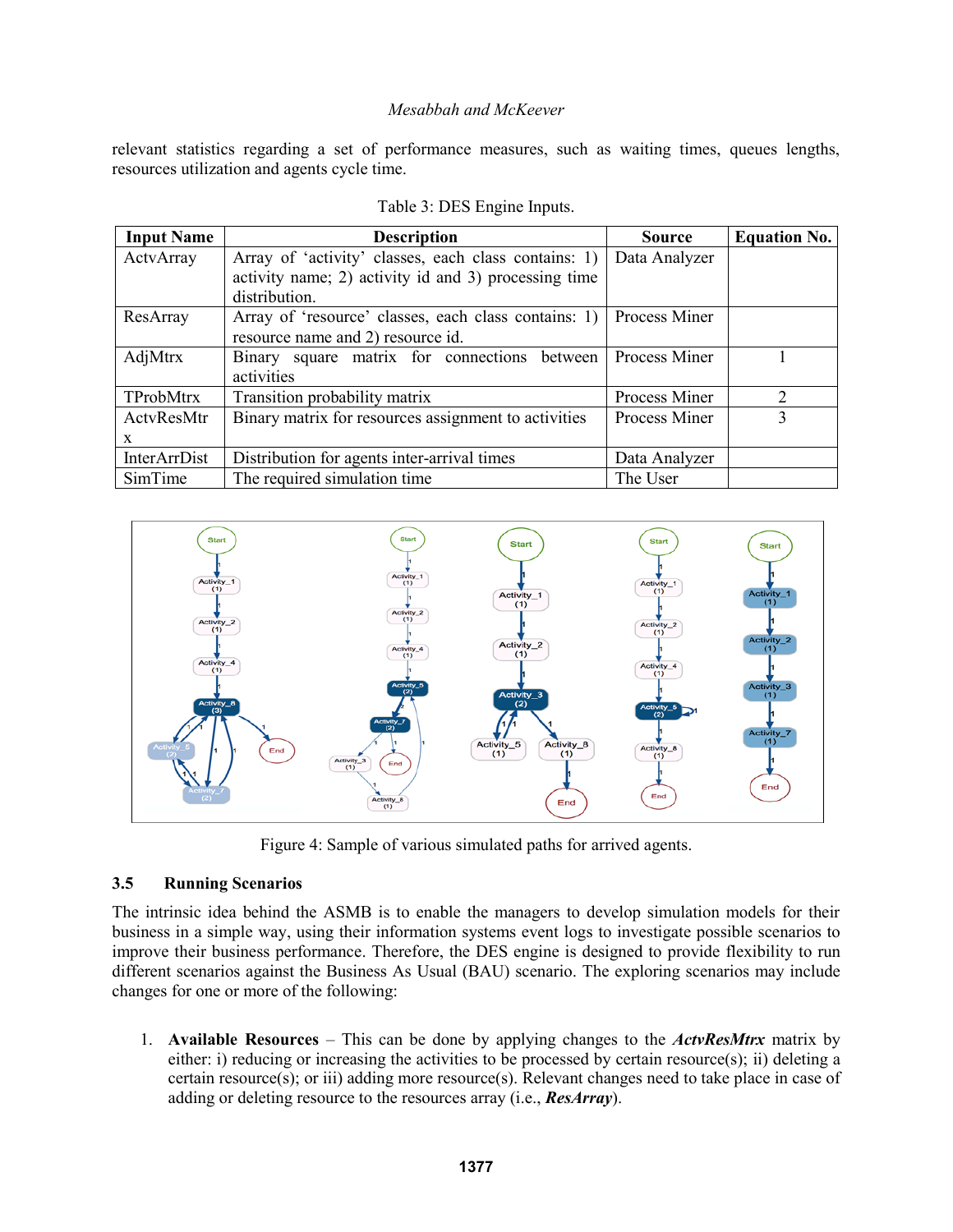relevant statistics regarding a set of performance measures, such as waiting times, queues lengths, resources utilization and agents cycle time.

| <b>Input Name</b> | <b>Description</b>                                   | <b>Source</b>        | <b>Equation No.</b> |
|-------------------|------------------------------------------------------|----------------------|---------------------|
| ActvArray         | Array of 'activity' classes, each class contains: 1) | Data Analyzer        |                     |
|                   | activity name; 2) activity id and 3) processing time |                      |                     |
|                   | distribution.                                        |                      |                     |
| ResArray          | Array of 'resource' classes, each class contains: 1) | Process Miner        |                     |
|                   | resource name and 2) resource id.                    |                      |                     |
| AdjMtrx           | Binary square matrix for connections between         | Process Miner        |                     |
|                   | activities                                           |                      |                     |
| TProbMtrx         | Transition probability matrix                        | Process Miner        |                     |
| ActvResMtr        | Binary matrix for resources assignment to activities | <b>Process Miner</b> | $\mathbf{R}$        |
| X                 |                                                      |                      |                     |
| InterArrDist      | Distribution for agents inter-arrival times          | Data Analyzer        |                     |
| SimTime           | The required simulation time                         | The User             |                     |

Table 3: DES Engine Inputs.



Figure 4: Sample of various simulated paths for arrived agents.

## **3.5 Running Scenarios**

The intrinsic idea behind the ASMB is to enable the managers to develop simulation models for their business in a simple way, using their information systems event logs to investigate possible scenarios to improve their business performance. Therefore, the DES engine is designed to provide flexibility to run different scenarios against the Business As Usual (BAU) scenario. The exploring scenarios may include changes for one or more of the following:

1. **Available Resources** – This can be done by applying changes to the *ActvResMtrx* matrix by either: i) reducing or increasing the activities to be processed by certain resource(s); ii) deleting a certain resource(s); or iii) adding more resource(s). Relevant changes need to take place in case of adding or deleting resource to the resources array (i.e., *ResArray*).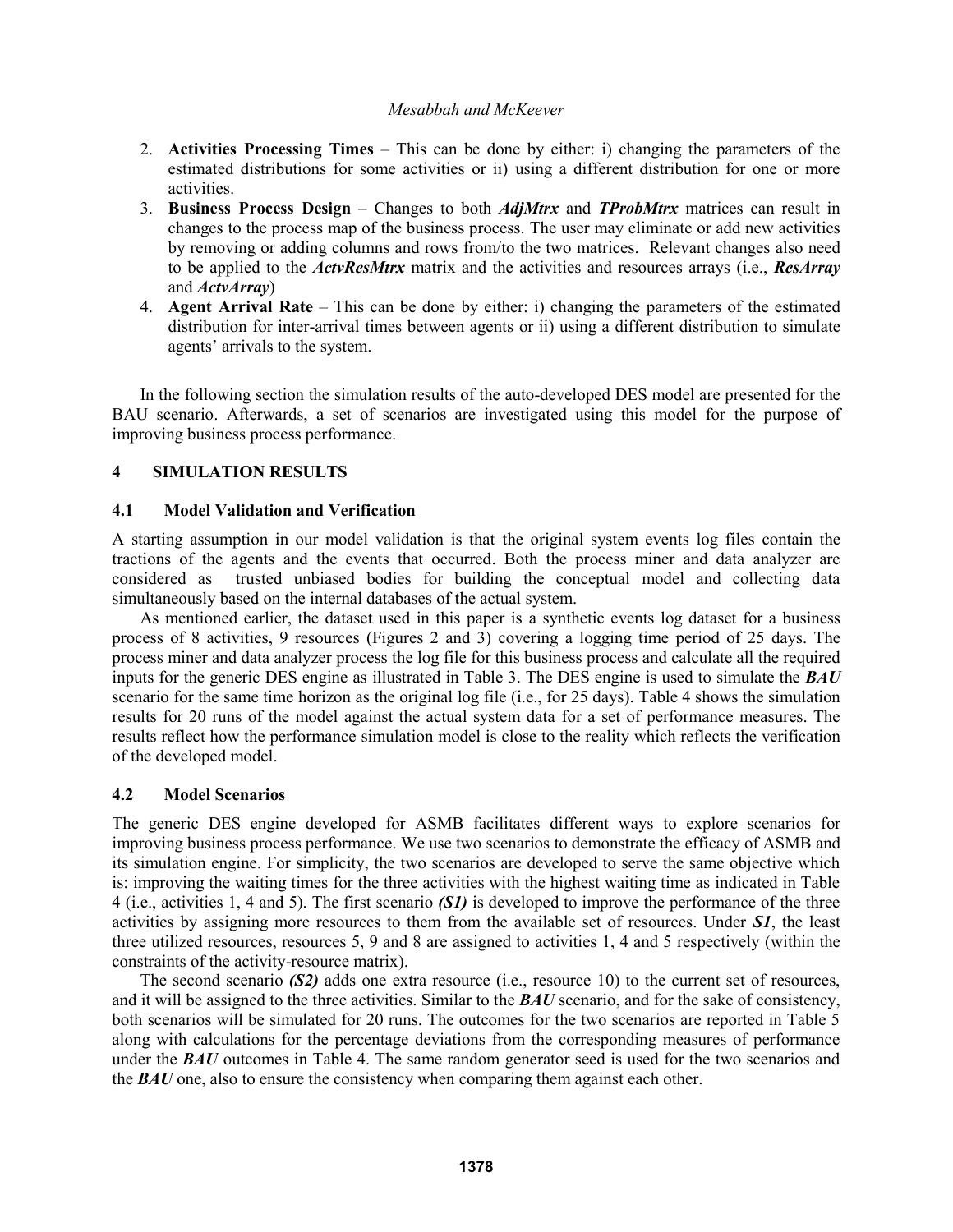- 2. **Activities Processing Times** This can be done by either: i) changing the parameters of the estimated distributions for some activities or ii) using a different distribution for one or more activities.
- 3. **Business Process Design** Changes to both *AdjMtrx* and *TProbMtrx* matrices can result in changes to the process map of the business process. The user may eliminate or add new activities by removing or adding columns and rows from/to the two matrices. Relevant changes also need to be applied to the *ActvResMtrx* matrix and the activities and resources arrays (i.e., *ResArray*  and *ActvArray*)
- 4. **Agent Arrival Rate** This can be done by either: i) changing the parameters of the estimated distribution for inter-arrival times between agents or ii) using a different distribution to simulate agents' arrivals to the system.

In the following section the simulation results of the auto-developed DES model are presented for the BAU scenario. Afterwards, a set of scenarios are investigated using this model for the purpose of improving business process performance.

## **4 SIMULATION RESULTS**

## **4.1 Model Validation and Verification**

A starting assumption in our model validation is that the original system events log files contain the tractions of the agents and the events that occurred. Both the process miner and data analyzer are considered as trusted unbiased bodies for building the conceptual model and collecting data simultaneously based on the internal databases of the actual system.

As mentioned earlier, the dataset used in this paper is a synthetic events log dataset for a business process of 8 activities, 9 resources (Figures 2 and 3) covering a logging time period of 25 days. The process miner and data analyzer process the log file for this business process and calculate all the required inputs for the generic DES engine as illustrated in Table 3. The DES engine is used to simulate the *BAU* scenario for the same time horizon as the original log file (i.e., for 25 days). Table 4 shows the simulation results for 20 runs of the model against the actual system data for a set of performance measures. The results reflect how the performance simulation model is close to the reality which reflects the verification of the developed model.

## **4.2 Model Scenarios**

The generic DES engine developed for ASMB facilitates different ways to explore scenarios for improving business process performance. We use two scenarios to demonstrate the efficacy of ASMB and its simulation engine. For simplicity, the two scenarios are developed to serve the same objective which is: improving the waiting times for the three activities with the highest waiting time as indicated in Table 4 (i.e., activities 1, 4 and 5). The first scenario *(S1)* is developed to improve the performance of the three activities by assigning more resources to them from the available set of resources. Under *S1*, the least three utilized resources, resources 5, 9 and 8 are assigned to activities 1, 4 and 5 respectively (within the constraints of the activity-resource matrix).

The second scenario *(S2)* adds one extra resource (i.e., resource 10) to the current set of resources, and it will be assigned to the three activities. Similar to the *BAU* scenario, and for the sake of consistency, both scenarios will be simulated for 20 runs. The outcomes for the two scenarios are reported in Table 5 along with calculations for the percentage deviations from the corresponding measures of performance under the **BAU** outcomes in Table 4. The same random generator seed is used for the two scenarios and the *BAU* one, also to ensure the consistency when comparing them against each other.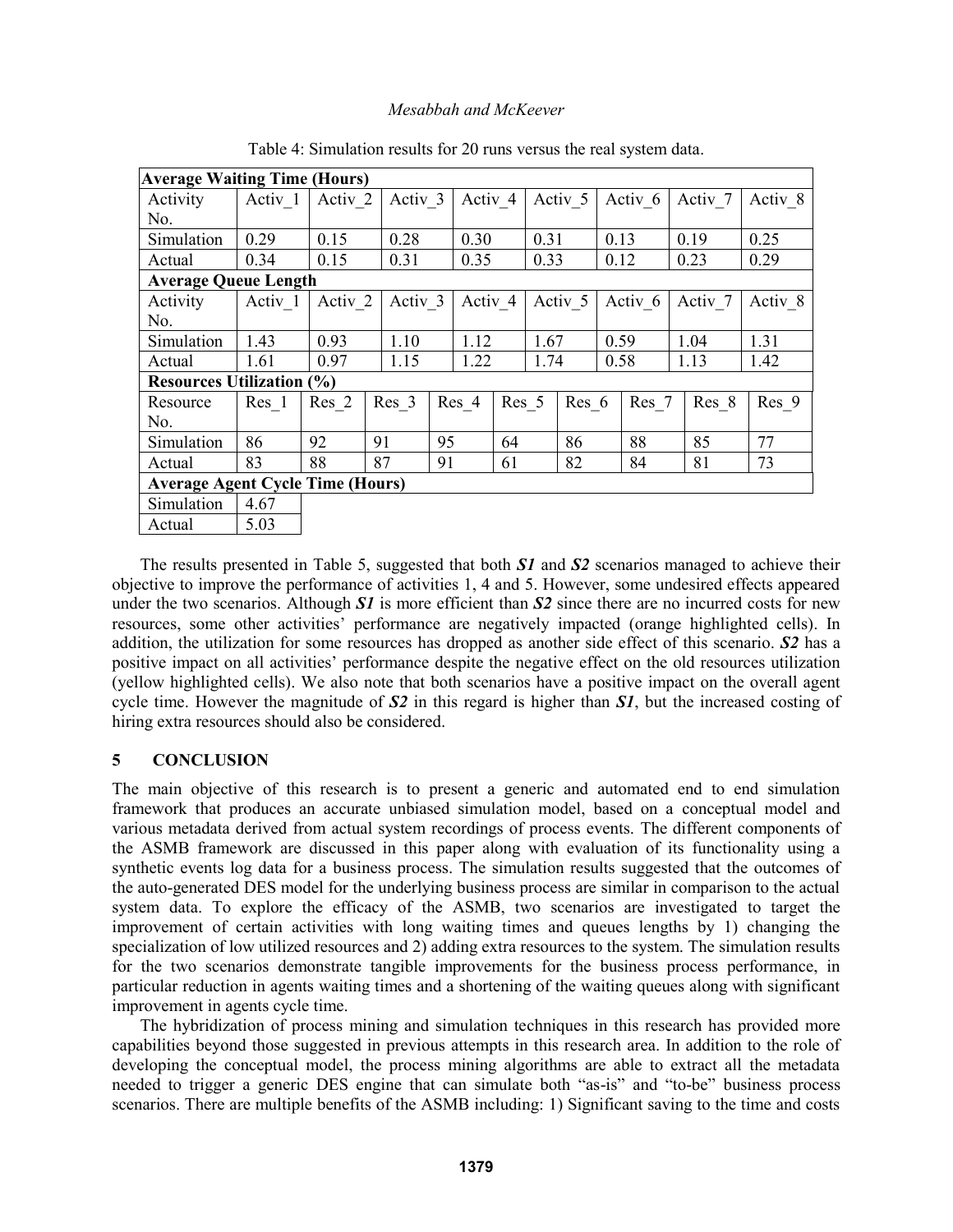| <b>Average Waiting Time (Hours)</b>     |         |                    |       |                    |  |                    |  |                    |  |                    |  |                    |         |  |
|-----------------------------------------|---------|--------------------|-------|--------------------|--|--------------------|--|--------------------|--|--------------------|--|--------------------|---------|--|
| Activity                                | Activ 1 | Activ <sub>2</sub> |       | Activ <sub>3</sub> |  | Activ <sub>4</sub> |  | Activ <sub>5</sub> |  | Activ <sub>6</sub> |  | Activ <sub>7</sub> | Activ 8 |  |
| No.                                     |         |                    |       |                    |  |                    |  |                    |  |                    |  |                    |         |  |
| Simulation                              | 0.29    | 0.15               | 0.28  |                    |  | 0.30               |  | 0.31               |  | 0.13               |  | 0.19               | 0.25    |  |
| Actual                                  | 0.34    | 0.15               | 0.31  |                    |  | 0.35               |  | 0.33               |  | 0.12               |  | 0.23               | 0.29    |  |
| <b>Average Queue Length</b>             |         |                    |       |                    |  |                    |  |                    |  |                    |  |                    |         |  |
| Activity                                | Activ 1 | Activ <sub>2</sub> |       | Activ <sub>3</sub> |  | Activ 4            |  | Activ <sub>5</sub> |  | Activ <sub>6</sub> |  | Activ <sub>7</sub> | Activ 8 |  |
| No.                                     |         |                    |       |                    |  |                    |  |                    |  |                    |  |                    |         |  |
| Simulation                              | 1.43    | 0.93               |       | 1.10               |  | 1.12               |  | 1.67               |  | 0.59               |  | 1.04               | 1.31    |  |
| Actual                                  | 1.61    | 0.97               |       | 1.15               |  | 1.22               |  | 1.74               |  | 0.58               |  | 1.13               | 1.42    |  |
| <b>Resources Utilization (%)</b>        |         |                    |       |                    |  |                    |  |                    |  |                    |  |                    |         |  |
| Resource                                | Res 1   | Res <sub>2</sub>   | Res 3 |                    |  | Res 4<br>Res 5     |  | Res 6              |  | Res 7              |  | Res 8              | Res 9   |  |
| No.                                     |         |                    |       |                    |  |                    |  |                    |  |                    |  |                    |         |  |
| Simulation                              | 86      | 92                 | 91    | 95                 |  | 64                 |  | 86                 |  | 88                 |  | 85                 | 77      |  |
| Actual                                  | 83      | 88                 | 87    | 91                 |  | 61                 |  | 82                 |  | 84                 |  | 81                 | 73      |  |
| <b>Average Agent Cycle Time (Hours)</b> |         |                    |       |                    |  |                    |  |                    |  |                    |  |                    |         |  |
| Simulation                              | 4.67    |                    |       |                    |  |                    |  |                    |  |                    |  |                    |         |  |
| Actual                                  | 5.03    |                    |       |                    |  |                    |  |                    |  |                    |  |                    |         |  |

Table 4: Simulation results for 20 runs versus the real system data.

The results presented in Table 5, suggested that both *S1* and *S2* scenarios managed to achieve their objective to improve the performance of activities 1, 4 and 5. However, some undesired effects appeared under the two scenarios. Although  $SI$  is more efficient than  $S2$  since there are no incurred costs for new resources, some other activities' performance are negatively impacted (orange highlighted cells). In addition, the utilization for some resources has dropped as another side effect of this scenario. *S2* has a positive impact on all activities' performance despite the negative effect on the old resources utilization (yellow highlighted cells). We also note that both scenarios have a positive impact on the overall agent cycle time. However the magnitude of *S2* in this regard is higher than *S1*, but the increased costing of hiring extra resources should also be considered.

## **5 CONCLUSION**

The main objective of this research is to present a generic and automated end to end simulation framework that produces an accurate unbiased simulation model, based on a conceptual model and various metadata derived from actual system recordings of process events. The different components of the ASMB framework are discussed in this paper along with evaluation of its functionality using a synthetic events log data for a business process. The simulation results suggested that the outcomes of the auto-generated DES model for the underlying business process are similar in comparison to the actual system data. To explore the efficacy of the ASMB, two scenarios are investigated to target the improvement of certain activities with long waiting times and queues lengths by 1) changing the specialization of low utilized resources and 2) adding extra resources to the system. The simulation results for the two scenarios demonstrate tangible improvements for the business process performance, in particular reduction in agents waiting times and a shortening of the waiting queues along with significant improvement in agents cycle time.

The hybridization of process mining and simulation techniques in this research has provided more capabilities beyond those suggested in previous attempts in this research area. In addition to the role of developing the conceptual model, the process mining algorithms are able to extract all the metadata needed to trigger a generic DES engine that can simulate both "as-is" and "to-be" business process scenarios. There are multiple benefits of the ASMB including: 1) Significant saving to the time and costs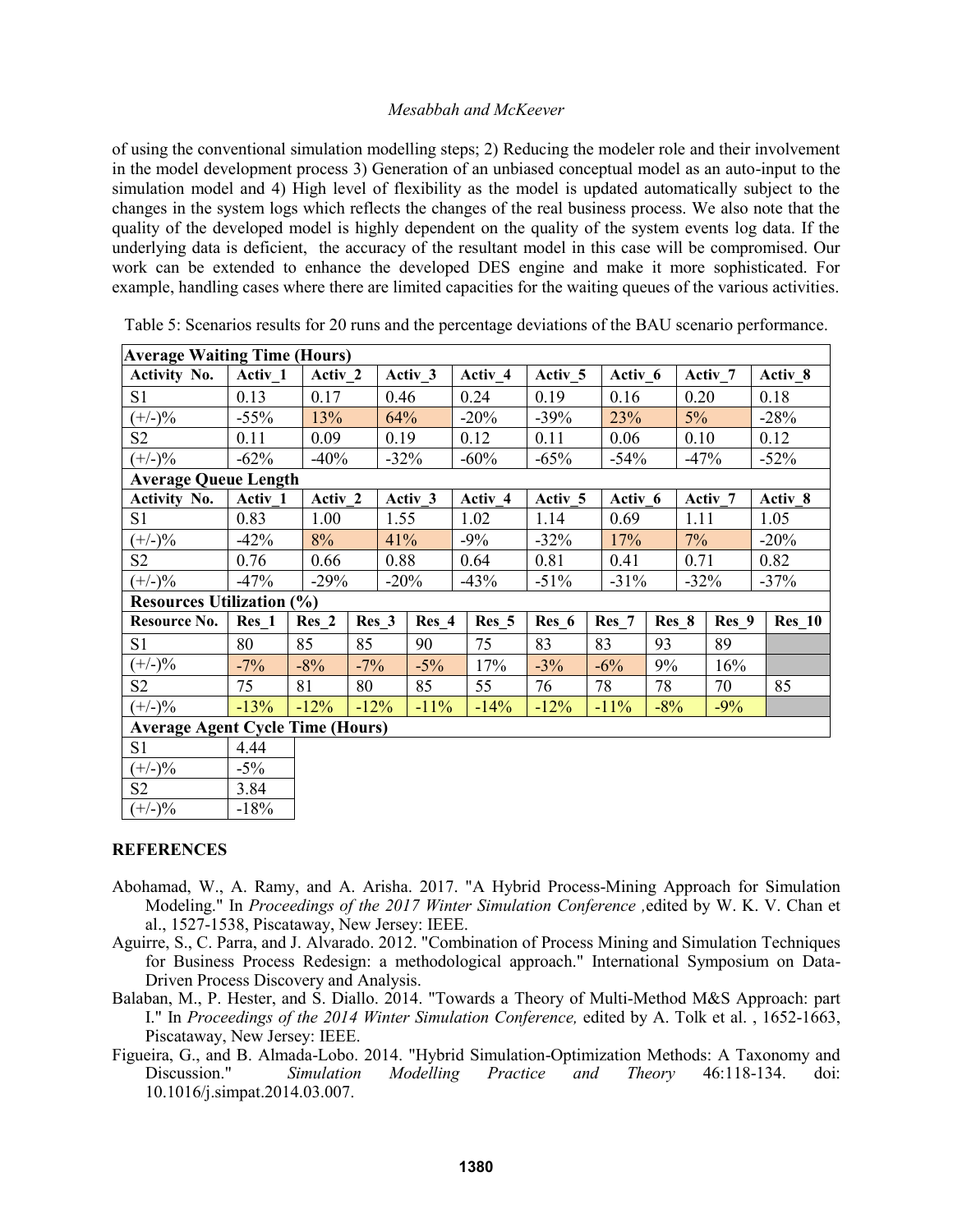of using the conventional simulation modelling steps; 2) Reducing the modeler role and their involvement in the model development process 3) Generation of an unbiased conceptual model as an auto-input to the simulation model and 4) High level of flexibility as the model is updated automatically subject to the changes in the system logs which reflects the changes of the real business process. We also note that the quality of the developed model is highly dependent on the quality of the system events log data. If the underlying data is deficient, the accuracy of the resultant model in this case will be compromised. Our work can be extended to enhance the developed DES engine and make it more sophisticated. For example, handling cases where there are limited capacities for the waiting queues of the various activities.

| <b>Average Waiting Time (Hours)</b>     |         |                    |       |                  |                    |                   |        |                    |        |          |        |                    |        |         |               |
|-----------------------------------------|---------|--------------------|-------|------------------|--------------------|-------------------|--------|--------------------|--------|----------|--------|--------------------|--------|---------|---------------|
| <b>Activity No.</b>                     | Activ_1 | Activ_2            |       |                  | Activ $3$          | Activ 4           |        | Activ <sub>5</sub> |        | Activ 6  |        | Activ_7            |        | Activ_8 |               |
| S1                                      | 0.13    | 0.17               |       |                  | 0.46               |                   | 0.24   | 0.19               |        | 0.16     |        | 0.20               |        | 0.18    |               |
| $(+/-)$ %                               | $-55%$  | 13%                |       | 64%              |                    | $-20%$            |        | $-39%$             |        | 23%      |        | $5\%$              |        | $-28%$  |               |
| S <sub>2</sub>                          | 0.11    | 0.09               |       | 0.19             |                    | 0.12              |        | 0.11               |        | 0.06     |        | 0.10               |        | 0.12    |               |
| $(+/-)$ %                               | $-62%$  | $-40%$             |       | $-32%$           |                    | $-60%$            |        | $-65%$             |        | $-54%$   |        | $-47%$             |        |         | $-52%$        |
| <b>Average Queue Length</b>             |         |                    |       |                  |                    |                   |        |                    |        |          |        |                    |        |         |               |
| <b>Activity No.</b>                     | Activ 1 | Activ <sub>2</sub> |       |                  | Activ <sub>3</sub> | Activ 4           |        | Activ <sub>5</sub> |        | Activ 6  |        | Activ <sub>7</sub> |        | Activ 8 |               |
| S1                                      | 0.83    | 1.00               |       | 1.55             |                    | 1.02              |        | 1.14               |        | 0.69     |        | 1.11               |        | 1.05    |               |
| $(+/-)$ %                               | $-42%$  | 8%                 |       | 41%              |                    | $-9\%$            |        | $-32%$             |        | 17%      |        | 7%                 |        | $-20%$  |               |
| S <sub>2</sub>                          | 0.76    | 0.66               |       | 0.88             |                    | 0.64              |        | 0.81               |        | 0.41     |        | 0.71               |        | 0.82    |               |
| $(+/-)$ %                               | $-47%$  | $-29%$             |       | $-20%$           |                    | $-43%$<br>$-51\%$ |        |                    | $-31%$ |          | $-32%$ |                    | $-37%$ |         |               |
| <b>Resources Utilization (%)</b>        |         |                    |       |                  |                    |                   |        |                    |        |          |        |                    |        |         |               |
| Resource No.                            | $Res_1$ | Res <sub>2</sub>   |       | Res 3            | Res 4              |                   | Res 5  | $Res_6$            |        | Res 7    |        | Res 8              | Res 9  |         | <b>Res</b> 10 |
| S1                                      | 80      | 85                 | 85    |                  | 90                 | 75                |        | 83                 |        | 83       | 93     |                    | 89     |         |               |
| $(+/-)$ %                               | $-7\%$  | $-8%$              | $-7%$ |                  | $-5%$              |                   | 17%    | $-3%$              |        | $-6\%$   | 9%     |                    | 16%    |         |               |
| S <sub>2</sub>                          | 75      | 81                 | 80    |                  | 85                 |                   | 55     | 76                 |        | 78<br>78 |        |                    | 70     |         | 85            |
| $(+/-)$ %                               | $-13%$  | $-12%$             |       | $-12%$<br>$-11%$ |                    |                   | $-14%$ | $-12%$             | $-11%$ |          | $-8%$  |                    | $-9%$  |         |               |
| <b>Average Agent Cycle Time (Hours)</b> |         |                    |       |                  |                    |                   |        |                    |        |          |        |                    |        |         |               |
| S <sub>1</sub>                          | 4.44    |                    |       |                  |                    |                   |        |                    |        |          |        |                    |        |         |               |
| $(+/-)$ %                               | $-5\%$  |                    |       |                  |                    |                   |        |                    |        |          |        |                    |        |         |               |
| S <sub>2</sub>                          | 3.84    |                    |       |                  |                    |                   |        |                    |        |          |        |                    |        |         |               |
| $(+/-)$ %                               | $-18%$  |                    |       |                  |                    |                   |        |                    |        |          |        |                    |        |         |               |

Table 5: Scenarios results for 20 runs and the percentage deviations of the BAU scenario performance.

#### **REFERENCES**

- Abohamad, W., A. Ramy, and A. Arisha. 2017. "A Hybrid Process-Mining Approach for Simulation Modeling." In *Proceedings of the 2017 Winter Simulation Conference ,*edited by W. K. V. Chan et al., 1527-1538, Piscataway, New Jersey: IEEE.
- Aguirre, S., C. Parra, and J. Alvarado. 2012. "Combination of Process Mining and Simulation Techniques for Business Process Redesign: a methodological approach." International Symposium on Data-Driven Process Discovery and Analysis.
- Balaban, M., P. Hester, and S. Diallo. 2014. "Towards a Theory of Multi-Method M&S Approach: part I." In *Proceedings of the 2014 Winter Simulation Conference,* edited by A. Tolk et al. , 1652-1663, Piscataway, New Jersey: IEEE.
- Figueira, G., and B. Almada-Lobo. 2014. "Hybrid Simulation-Optimization Methods: A Taxonomy and Discussion." *Simulation Modelling Practice and Theory* 46:118-134. doi: 10.1016/j.simpat.2014.03.007.